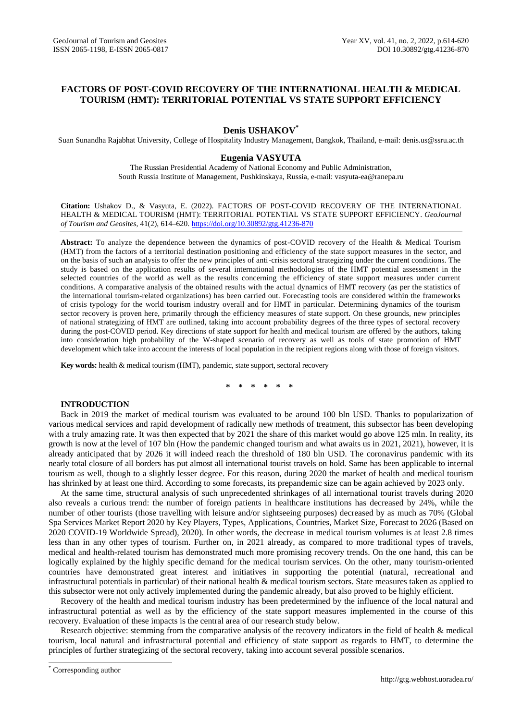# **FACTORS OF POST-COVID RECOVERY OF THE INTERNATIONAL HEALTH & MEDICAL TOURISM (HMT): TERRITORIAL POTENTIAL VS STATE SUPPORT EFFICIENCY**

## **Denis USHAKOV\***

Suan Sunandha Rajabhat University, College of Hospitality Industry Management, Bangkok, Thailand, e-mail: denis.us@ssru.ac.th

# **Eugenia VASYUTA**

The Russian Presidential Academy of National Economy and Public Administration, South Russia Institute of Management, Pushkinskaya, Russia, e-mail: vasyuta-ea@ranepa.ru

**Citation:** Ushakov D., & Vasyuta, E. (2022). FACTORS OF POST-COVID RECOVERY OF THE INTERNATIONAL HEALTH & MEDICAL TOURISM (HMT): TERRITORIAL POTENTIAL VS STATE SUPPORT EFFICIENCY. *GeoJournal of Tourism and Geosites*, 41(2), 614–620. <https://doi.org/10.30892/gtg.41236-870>

**Abstract:** To analyze the dependence between the dynamics of post-COVID recovery of the Health & Medical Tourism (HMT) from the factors of a territorial destination positioning and efficiency of the state support measures in the sector, and on the basis of such an analysis to offer the new principles of anti-crisis sectoral strategizing under the current conditions. The study is based on the application results of several international methodologies of the HMT potential assessment in the selected countries of the world as well as the results concerning the efficiency of state support measures under current conditions. A comparative analysis of the obtained results with the actual dynamics of HMT recovery (as per the statistics of the international tourism-related organizations) has been carried out. Forecasting tools are considered within the frameworks of crisis typology for the world tourism industry overall and for HMT in particular. Determining dynamics of the tourism sector recovery is proven here, primarily through the efficiency measures of state support. On these grounds, new principles of national strategizing of HMT are outlined, taking into account probability degrees of the three types of sectoral recovery during the post-COVID period. Key directions of state support for health and medical tourism are offered by the authors, taking into consideration high probability of the W-shaped scenario of recovery as well as tools of state promotion of HMT development which take into account the interests of local population in the recipient regions along with those of foreign visitors.

**Key words:** health & medical tourism (HMT), pandemic, state support, sectoral recovery

**\* \* \* \* \* \***

### **INTRODUCTION**

Back in 2019 the market of medical tourism was evaluated to be around 100 bln USD. Thanks to popularization of various medical services and rapid development of radically new methods of treatment, this subsector has been developing with a truly amazing rate. It was then expected that by 2021 the share of this market would go above 125 mln. In reality, its growth is now at the level of 107 bln (How the pandemic changed tourism and what awaits us in 2021, 2021), however, it is already anticipated that by 2026 it will indeed reach the threshold of 180 bln USD. The coronavirus pandemic with its nearly total closure of all borders has put almost all international tourist travels on hold. Same has been applicable to internal tourism as well, though to a slightly lesser degree. For this reason, during 2020 the market of health and medical tourism has shrinked by at least one third. According to some forecasts, its prepandemic size can be again achieved by 2023 only.

At the same time, structural analysis of such unprecedented shrinkages of all international tourist travels during 2020 also reveals a curious trend: the number of foreign patients in healthcare institutions has decreased by 24%, while the number of other tourists (those travelling with leisure and/or sightseeing purposes) decreased by as much as 70% (Global Spa Services Market Report 2020 by Key Players, Types, Applications, Countries, Market Size, Forecast to 2026 (Based on 2020 COVID-19 Worldwide Spread), 2020). In other words, the decrease in medical tourism volumes is at least 2.8 times less than in any other types of tourism. Further on, in 2021 already, as compared to more traditional types of travels, medical and health-related tourism has demonstrated much more promising recovery trends. On the one hand, this can be logically explained by the highly specific demand for the medical tourism services. On the other, many tourism-oriented countries have demonstrated great interest and initiatives in supporting the potential (natural, recreational and infrastructural potentials in particular) of their national health & medical tourism sectors. State measures taken as applied to this subsector were not only actively implemented during the pandemic already, but also proved to be highly efficient.

Recovery of the health and medical tourism industry has been predetermined by the influence of the local natural and infrastructural potential as well as by the efficiency of the state support measures implemented in the course of this recovery. Evaluation of these impacts is the central area of our research study below.

Research objective: stemming from the comparative analysis of the recovery indicators in the field of health & medical tourism, local natural and infrastructural potential and efficiency of state support as regards to HMT, to determine the principles of further strategizing of the sectoral recovery, taking into account several possible scenarios.

 $\overline{a}$ 

<sup>\*</sup> Corresponding author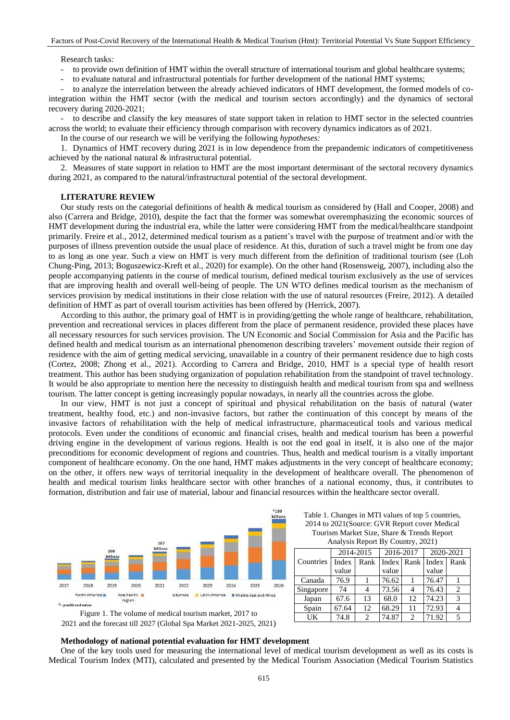#### Research tasks*:*

to provide own definition of HMT within the overall structure of international tourism and global healthcare systems;

to evaluate natural and infrastructural potentials for further development of the national HMT systems;

to analyze the interrelation between the already achieved indicators of HMT development, the formed models of cointegration within the HMT sector (with the medical and tourism sectors accordingly) and the dynamics of sectoral recovery during 2020-2021;

- to describe and classify the key measures of state support taken in relation to HMT sector in the selected countries across the world; to evaluate their efficiency through comparison with recovery dynamics indicators as of 2021.

In the course of our research we will be verifying the following *hypotheses:*

1. Dynamics of HMT recovery during 2021 is in low dependence from the prepandemic indicators of competitiveness achieved by the national natural & infrastructural potential.

2. Measures of state support in relation to HMT are the most important determinant of the sectoral recovery dynamics during 2021, as compared to the natural/infrastructural potential of the sectoral development.

#### **LITERATURE REVIEW**

Our study rests on the categorial definitions of health & medical tourism as considered by (Hall and Cooper, 2008) and also (Сarrera and Bridge, 2010), despite the fact that the former was somewhat overemphasizing the economic sources of HMT development during the industrial era, while the latter were considering HMT from the medical/healthcare standpoint primarily. Freire et al., 2012, determined medical tourism as a patient's travel with the purpose of treatment and/or with the purposes of illness prevention outside the usual place of residence. At this, duration of such a travel might be from one day to as long as one year. Such a view on HMT is very much different from the definition of traditional tourism (see (Loh Chung-Ping, 2013; Boguszewicz-Kreft et al., 2020) for example). On the other hand (Rosensweig, 2007), including also the people accompanying patients in the course of medical tourism, defined medical tourism exclusively as the use of services that are improving health and overall well-being of people. The UN WTO defines medical tourism as the mechanism of services provision by medical institutions in their close relation with the use of natural resources (Freire, 2012). A detailed definition of HMT as part of overall tourism activities has been offered by (Herrick, 2007).

According to this author, the primary goal of HMT is in providing/getting the whole range of healthcare, rehabilitation, prevention and recreational services in places different from the place of permanent residence, provided these places have all necessary resources for such services provision. The UN Economic and Social Commission for Asia and the Pacific has defined health and medical tourism as an international phenomenon describing travelers' movement outside their region of residence with the aim of getting medical servicing, unavailable in a country of their permanent residence due to high costs (Cortez, 2008; Zhong et al., 2021). According to Сarrera and Bridge, 2010, HMT is a special type of health resort treatment. This author has been studying organization of population rehabilitation from the standpoint of travel technology. It would be also appropriate to mention here the necessity to distinguish health and medical tourism from spa and wellness tourism. The latter concept is getting increasingly popular nowadays, in nearly all the countries across the globe.

In our view, HMT is not just a concept of spiritual and physical rehabilitation on the basis of natural (water treatment, healthy food, etc.) and non-invasive factors, but rather the continuation of this concept by means of the invasive factors of rehabilitation with the help of medical infrastructure, pharmaceutical tools and various medical protocols. Even under the conditions of economic and financial crises, health and medical tourism has been a powerful driving engine in the development of various regions. Health is not the end goal in itself, it is also one of the major preconditions for economic development of regions and countries. Thus, health and medical tourism is a vitally important component of healthcare economy. On the one hand, HMT makes adjustments in the very concept of healthcare economy; on the other, it offers new ways of territorial inequality in the development of healthcare overall. The phenomenon of health and medical tourism links healthcare sector with other branches of a national economy, thus, it contributes to formation, distribution and fair use of material, labour and financial resources within the healthcare sector overall.



Table 1. Changes in MTI values of top 5 countries, 2014 to 2021(Source: GVR Report cover Medical Tourism Market Size, Share & Trends Report Analysis Report By Country, 2021)

|           | 2014-2015 |                        | 2016-2017        |                             |       | 2020-2021      |
|-----------|-----------|------------------------|------------------|-----------------------------|-------|----------------|
| Countries | Index     | Rank                   | Index Rank Index |                             |       | Rank           |
|           | value     |                        | value            |                             | value |                |
| Canada    | 76.9      |                        | 76.62            |                             | 76.47 |                |
| Singapore | 74        |                        | 73.56            |                             | 76.43 | $\mathfrak{D}$ |
| Japan     | 67.6      | 13                     | 68.0             | 12                          | 74.23 | 3              |
| Spain     | 67.64     | 12                     | 68.29            | 11                          | 72.93 |                |
| UK        | 74.8      | $\mathcal{D}_{\alpha}$ | 74.87            | $\mathcal{D}_{\mathcal{A}}$ | 71.92 |                |

Figure 1. The volume of medical tourism market, 2017 to 2021 and the forecast till 2027 (Global Spa Market 2021-2025, 2021)

#### **Methodology of national potential evaluation for HMT development**

One of the key tools used for measuring the international level of medical tourism development as well as its costs is Medical Tourism Index (MTI), calculated and presented by the Medical Tourism Association (Medical Tourism Statistics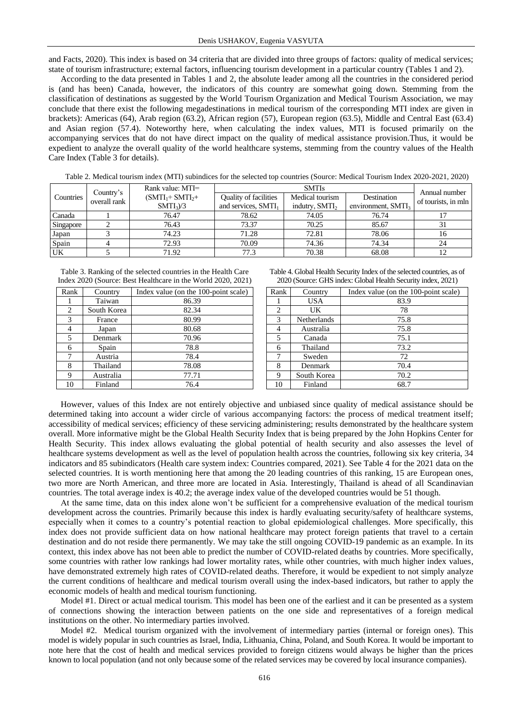and Facts, 2020). This index is based on 34 criteria that are divided into three groups of factors: quality of medical services; state of tourism infrastructure; external factors, influencing tourism development in a particular country (Tables 1 and 2).

According to the data presented in Tables 1 and 2, the absolute leader among all the countries in the considered period is (and has been) Canada, however, the indicators of this country are somewhat going down. Stemming from the classification of destinations as suggested by the World Tourism Organization and Medical Tourism Association, we may conclude that there exist the following megadestinations in medical tourism of the corresponding MTI index are given in brackets): Americas (64), Arab region (63.2), African region (57), European region (63.5), Middle and Central East (63.4) and Asian region (57.4). Noteworthy here, when calculating the index values, MTI is focused primarily on the accompanying services that do not have direct impact on the quality of medical assistance provision.Thus, it would be expedient to analyze the overall quality of the world healthcare systems, stemming from the country values of the Health Care Index (Table 3 for details).

Table 2. Medical tourism index (MTI) subindices for the selected top countries (Source: Medical Tourism Index 2020-2021, 2020)

|           |                           | Rank value: MTI= |                                 | Annual number              |                                |                     |
|-----------|---------------------------|------------------|---------------------------------|----------------------------|--------------------------------|---------------------|
| Countries | Country's<br>overall rank | $(SMTI1+SMTI2+)$ | Quality of facilities           | Medical tourism            | Destination                    | of tourists, in mln |
|           |                           | $SMTI_3/3$       | and services, SMTI <sub>1</sub> | indutry, SMTI <sub>2</sub> | environment, SMTI <sub>3</sub> |                     |
| Canada    |                           | 76.47            | 78.62                           | 74.05                      | 76.74                          |                     |
| Singapore |                           | 76.43            | 73.37                           | 70.25                      | 85.67                          |                     |
| Japan     |                           | 74.23            | 71.28                           | 72.81                      | 78.06                          | 16                  |
| Spain     |                           | 72.93            | 70.09                           | 74.36                      | 74.34                          | 24                  |
| UK        |                           | 71.92            | 77.3                            | 70.38                      | 68.08                          |                     |

Table 3. Ranking of the selected countries in the Health Care Index 2020 (Source: Best Healthcare in the World 2020, 2021)

| Rank | Country     | Index value (on the 100-point scale) |
|------|-------------|--------------------------------------|
|      | Taiwan      | 86.39                                |
| 2    | South Korea | 82.34                                |
| 3    | France      | 80.99                                |
|      | Japan       | 80.68                                |
| 5    | Denmark     | 70.96                                |
| 6    | Spain       | 78.8                                 |
| 7    | Austria     | 78.4                                 |
| 8    | Thailand    | 78.08                                |
| 9    | Australia   | 77.71                                |
| 10   | Finland     | 76.4                                 |

Table 4. Global Health Security Index of the selected countries, as of 2020 (Source: GHS index: Global Health Security index, 2021)

|      | $2020$ (Douter, OTID find A. Grobal Figure Decurity find A, $2021$ ) |                                      |  |  |  |
|------|----------------------------------------------------------------------|--------------------------------------|--|--|--|
| Rank | Country                                                              | Index value (on the 100-point scale) |  |  |  |
|      | <b>USA</b>                                                           | 83.9                                 |  |  |  |
| 2    | UK                                                                   | 78                                   |  |  |  |
| 3    | Netherlands                                                          | 75.8                                 |  |  |  |
| 4    | Australia                                                            | 75.8                                 |  |  |  |
| 5    | Canada                                                               | 75.1                                 |  |  |  |
| 6    | Thailand                                                             | 73.2                                 |  |  |  |
| 7    | Sweden                                                               | 72                                   |  |  |  |
| 8    | Denmark                                                              | 70.4                                 |  |  |  |
| 9    | South Korea                                                          | 70.2                                 |  |  |  |
| 10   | Finland                                                              | 68.7                                 |  |  |  |

However, values of this Index are not entirely objective and unbiased since quality of medical assistance should be determined taking into account a wider circle of various accompanying factors: the process of medical treatment itself; accessibility of medical services; efficiency of these servicing administering; results demonstrated by the healthcare system overall. More informative might be the Global Health Security Index that is being prepared by the John Hopkins Center for Health Security. This index allows evaluating the global potential of health security and also assesses the level of healthcare systems development as well as the level of population health across the countries, following six key criteria, 34 indicators and 85 subindicators (Health care system index: Countries compared, 2021). See Table 4 for the 2021 data on the selected countries. It is worth mentioning here that among the 20 leading countries of this ranking, 15 are European ones, two more are North American, and three more are located in Asia. Interestingly, Thailand is ahead of all Scandinavian countries. The total average index is 40.2; the average index value of the developed countries would be 51 though.

At the same time, data on this index alone won't be sufficient for a comprehensive evaluation of the medical tourism development across the countries. Primarily because this index is hardly evaluating security/safety of healthcare systems, especially when it comes to a country's potential reaction to global epidemiological challenges. More specifically, this index does not provide sufficient data on how national healthcare may protect foreign patients that travel to a certain destination and do not reside there permanently. We may take the still ongoing COVID-19 pandemic as an example. In its context, this index above has not been able to predict the number of COVID-related deaths by countries. More specifically, some countries with rather low rankings had lower mortality rates, while other countries, with much higher index values, have demonstrated extremely high rates of COVID-related deaths. Therefore, it would be expedient to not simply analyze the current conditions of healthcare and medical tourism overall using the index-based indicators, but rather to apply the economic models of health and medical tourism functioning.

Model #1. Direct or actual medical tourism. This model has been one of the earliest and it can be presented as a system of connections showing the interaction between patients on the one side and representatives of a foreign medical institutions on the other. No intermediary parties involved.

Model #2. Medical tourism organized with the involvement of intermediary parties (internal or foreign ones). This model is widely popular in such countries as Israel, India, Lithuania, China, Poland, and South Korea. It would be important to note here that the cost of health and medical services provided to foreign citizens would always be higher than the prices known to local population (and not only because some of the related services may be covered by local insurance companies).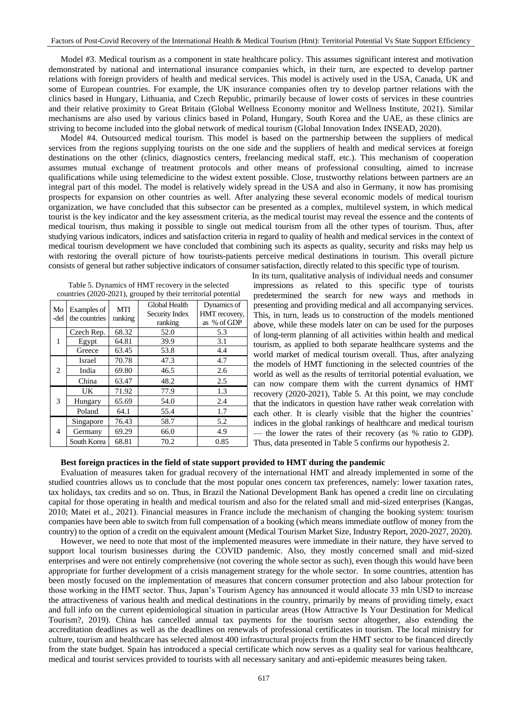Model #3. Medical tourism as a component in state healthcare policy. This assumes significant interest and motivation demonstrated by national and international insurance companies which, in their turn, are expected to develop partner relations with foreign providers of health and medical services. This model is actively used in the USA, Canada, UK and some of European countries. For example, the UK insurance companies often try to develop partner relations with the clinics based in Hungary, Lithuania, and Czech Republic, primarily because of lower costs of services in these countries and their relative proximity to Great Britain (Global Wellness Economy monitor and Wellness Institute, 2021). Similar mechanisms are also used by various clinics based in Poland, Hungary, South Korea and the UAE, as these clinics are striving to become included into the global network of medical tourism (Global Innovation Index INSEAD, 2020).

Model #4. Outsourced medical tourism. This model is based on the partnership between the suppliers of medical services from the regions supplying tourists on the one side and the suppliers of health and medical services at foreign destinations on the other (clinics, diagnostics centers, freelancing medical staff, etc.). This mechanism of cooperation assumes mutual exchange of treatment protocols and other means of professional consulting, aimed to increase qualifications while using telemedicine to the widest extent possible. Close, trustworthy relations between partners are an integral part of this model. The model is relatively widely spread in the USA and also in Germany, it now has promising prospects for expansion on other countries as well. After analyzing these several economic models of medical tourism organization, we have concluded that this subsector can be presented as a complex, multilevel system, in which medical tourist is the key indicator and the key assessment criteria, as the medical tourist may reveal the essence and the contents of medical tourism, thus making it possible to single out medical tourism from all the other types of tourism. Thus, after studying various indicators, indices and satisfaction criteria in regard to quality of health and medical services in the context of medical tourism development we have concluded that combining such its aspects as quality, security and risks may help us with restoring the overall picture of how tourists-patients perceive medical destinations in tourism. This overall picture consists of general but rather subjective indicators of consumer satisfaction, directly related to this specific type of tourism.

|  | Table 5. Dynamics of HMT recovery in the selected             |                    |
|--|---------------------------------------------------------------|--------------------|
|  | countries (2020-2021), grouped by their territorial potential |                    |
|  | Global Health                                                 | <b>Dynamics</b> of |

| Mo<br>-del     | Examples of<br>the countries | <b>MTI</b><br>ranking | Global Health<br>Security Index<br>ranking | Dynamics of<br>HMT recovery,<br>as % of GDP |
|----------------|------------------------------|-----------------------|--------------------------------------------|---------------------------------------------|
|                | Czech Rep.                   | 68.32                 | 52.0                                       | 5.3                                         |
| 1              | Egypt                        | 64.81                 | 39.9                                       | 3.1                                         |
|                | Greece                       | 63.45                 | 53.8                                       | 4.4                                         |
|                | <b>Israel</b>                | 70.78                 | 47.3                                       | 4.7                                         |
| 2              | India                        | 69.80                 | 46.5                                       | 2.6                                         |
|                | China                        | 63.47                 | 48.2                                       | 2.5                                         |
|                | UK                           | 71.92                 | 77.9                                       | 1.3                                         |
| 3              | Hungary                      | 65.69                 | 54.0                                       | 2.4                                         |
|                | Poland                       | 64.1                  | 55.4                                       | 1.7                                         |
|                | Singapore                    | 76.43                 | 58.7                                       | 5.2                                         |
| $\overline{4}$ | Germany                      | 69.29                 | 66.0                                       | 4.9                                         |
|                | South Korea                  | 68.81                 | 70.2                                       | 0.85                                        |

 In its turn, qualitative analysis of individual needs and consumer impressions as related to this specific type of tourists predetermined the search for new ways and methods in presenting and providing medical and all accompanying services. This, in turn, leads us to construction of the models mentioned above, while these models later on can be used for the purposes of long-term planning of all activities within health and medical tourism, as applied to both separate healthcare systems and the world market of medical tourism overall. Thus, after analyzing the models of HMT functioning in the selected countries of the world as well as the results of territorial potential evaluation, we can now compare them with the current dynamics of HMT recovery (2020-2021), Table 5. At this point, we may conclude that the indicators in question have rather weak correlation with each other. It is clearly visible that the higher the countries' indices in the global rankings of healthcare and medical tourism — the lower the rates of their recovery (as % ratio to GDP). Thus, data presented in Table 5 confirms our hypothesis 2.

### **Best foreign practices in the field of state support provided to HMT during the pandemic**

Evaluation of measures taken for gradual recovery of the international HMT and already implemented in some of the studied countries allows us to conclude that the most popular ones concern tax preferences, namely: lower taxation rates, tax holidays, tax credits and so on. Thus, in Brazil the National Development Bank has opened a credit line on circulating capital for those operating in health and medical tourism and also for the related small and mid-sized enterprises (Kangas, 2010; Matei et al., 2021). Financial measures in France include the mechanism of changing the booking system: tourism companies have been able to switch from full compensation of a booking (which means immediate outflow of money from the country) to the option of a credit on the equivalent amount (Medical Tourism Market Size, Industry Report, 2020-2027, 2020).

However, we need to note that most of the implemented measures were immediate in their nature, they have served to support local tourism businesses during the COVID pandemic. Also, they mostly concerned small and mid-sized enterprises and were not entirely comprehensive (not covering the whole sector as such), even though this would have been appropriate for further development of a crisis management strategy for the whole sector. In some countries, attention has been mostly focused on the implementation of measures that concern consumer protection and also labour protection for those working in the HMT sector. Thus, Japan's Tourism Agency has announced it would allocate 33 mln USD to increase the attractiveness of various health and medical destinations in the country, primarily by means of providing timely, exact and full info on the current epidemiological situation in particular areas (How Attractive Is Your Destination for Medical Tourism?, 2019). China has cancelled annual tax payments for the tourism sector altogether, also extending the accreditation deadlines as well as the deadlines on renewals of professional certificates in tourism. The local ministry for culture, tourism and healthcare has selected almost 400 infrastructural projects from the HMT sector to be financed directly from the state budget. Spain has introduced a special certificate which now serves as a quality seal for various healthcare, medical and tourist services provided to tourists with all necessary sanitary and anti-epidemic measures being taken.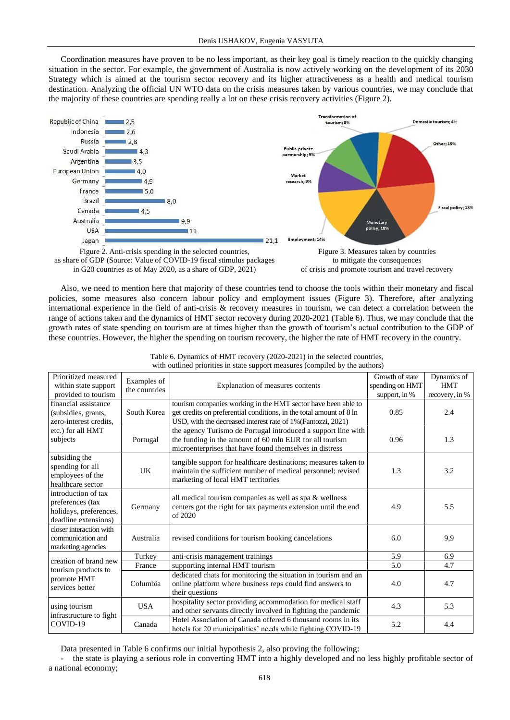Coordination measures have proven to be no less important, as their key goal is timely reaction to the quickly changing situation in the sector. For example, the government of Australia is now actively working on the development of its 2030 Strategy which is aimed at the tourism sector recovery and its higher attractiveness as a health and medical tourism destination. Analyzing the official UN WTO data on the crisis measures taken by various countries, we may conclude that the majority of these countries are spending really a lot on these crisis recovery activities (Figure 2).



as share of GDP (Source: Value of COVID-19 fiscal stimulus packages in G20 countries as of May 2020, as a share of GDP, 2021)



Also, we need to mention here that majority of these countries tend to choose the tools within their monetary and fiscal policies, some measures also concern labour policy and employment issues (Figure 3). Therefore, after analyzing international experience in the field of anti-crisis & recovery measures in tourism, we can detect a correlation between the range of actions taken and the dynamics of HMT sector recovery during 2020-2021 (Table 6). Thus, we may conclude that the growth rates of state spending on tourism are at times higher than the growth of tourism's actual contribution to the GDP of these countries. However, the higher the spending on tourism recovery, the higher the rate of HMT recovery in the country.

| Prioritized measured<br>within state support<br>provided to tourism                       | Examples of<br>the countries | Explanation of measures contents                                                                                                                                                                     | Growth of state<br>spending on HMT<br>support, in % | Dynamics of<br><b>HMT</b><br>recovery, in % |
|-------------------------------------------------------------------------------------------|------------------------------|------------------------------------------------------------------------------------------------------------------------------------------------------------------------------------------------------|-----------------------------------------------------|---------------------------------------------|
| financial assistance<br>(subsidies, grants,<br>zero-interest credits.                     | South Korea                  | tourism companies working in the HMT sector have been able to<br>get credits on preferential conditions, in the total amount of 8 ln<br>USD, with the decreased interest rate of 1% (Fantozzi, 2021) | 0.85                                                | 2.4                                         |
| etc.) for all HMT<br>subjects                                                             | Portugal                     | the agency Turismo de Portugal introduced a support line with<br>the funding in the amount of 60 mln EUR for all tourism<br>microenterprises that have found themselves in distress                  | 0.96                                                | 1.3                                         |
| subsiding the<br>spending for all<br>employees of the<br>healthcare sector                | <b>UK</b>                    | tangible support for healthcare destinations; measures taken to<br>maintain the sufficient number of medical personnel; revised<br>marketing of local HMT territories                                | 1.3                                                 | 3.2                                         |
| introduction of tax<br>preferences (tax<br>holidays, preferences,<br>deadline extensions) | Germany                      | all medical tourism companies as well as spa & wellness<br>centers got the right for tax payments extension until the end<br>of 2020                                                                 | 4.9                                                 | 5.5                                         |
| closer interaction with<br>communication and<br>marketing agencies                        | Australia                    | revised conditions for tourism booking cancelations                                                                                                                                                  | 6.0                                                 | 9.9                                         |
| creation of brand new                                                                     | Turkey                       | anti-crisis management trainings                                                                                                                                                                     | 5.9                                                 | 6.9                                         |
| tourism products to                                                                       | France                       | supporting internal HMT tourism                                                                                                                                                                      | 5.0                                                 | 4.7                                         |
| promote HMT<br>services better                                                            | Columbia                     | dedicated chats for monitoring the situation in tourism and an<br>online platform where business reps could find answers to<br>their questions                                                       | 4.0                                                 | 4.7                                         |
| using tourism                                                                             | <b>USA</b>                   | hospitality sector providing accommodation for medical staff<br>and other servants directly involved in fighting the pandemic                                                                        | 4.3                                                 | 5.3                                         |
| infrastructure to fight<br>COVID-19                                                       | Canada                       | Hotel Association of Canada offered 6 thousand rooms in its<br>hotels for 20 municipalities' needs while fighting COVID-19                                                                           | 5.2                                                 | 4.4                                         |

Table 6. Dynamics of HMT recovery (2020-2021) in the selected countries, with outlined priorities in state support measures (compiled by the authors)

Data presented in Table 6 confirms our initial hypothesis 2, also proving the following:

the state is playing a serious role in converting HMT into a highly developed and no less highly profitable sector of a national economy;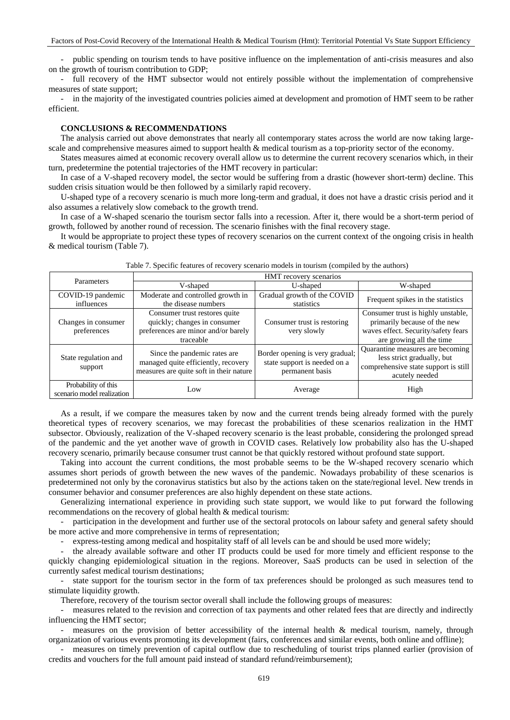- public spending on tourism tends to have positive influence on the implementation of anti-crisis measures and also on the growth of tourism contribution to GDP;

- full recovery of the HMT subsector would not entirely possible without the implementation of comprehensive measures of state support;

- in the majority of the investigated countries policies aimed at development and promotion of HMT seem to be rather efficient.

## **CONCLUSIONS & RECOMMENDATIONS**

The analysis carried out above demonstrates that nearly all contemporary states across the world are now taking largescale and comprehensive measures aimed to support health & medical tourism as a top-priority sector of the economy.

States measures aimed at economic recovery overall allow us to determine the current recovery scenarios which, in their turn, predetermine the potential trajectories of the HMT recovery in particular:

In case of a V-shaped recovery model, the sector would be suffering from a drastic (however short-term) decline. This sudden crisis situation would be then followed by a similarly rapid recovery.

U-shaped type of a recovery scenario is much more long-term and gradual, it does not have a drastic crisis period and it also assumes a relatively slow comeback to the growth trend.

In case of a W-shaped scenario the tourism sector falls into a recession. After it, there would be a short-term period of growth, followed by another round of recession. The scenario finishes with the final recovery stage.

It would be appropriate to project these types of recovery scenarios on the current context of the ongoing crisis in health & medical tourism (Table 7).

| Parameters                                        |                                                                                                                   | HMT recovery scenarios                                                             |                                                                                                                                       |
|---------------------------------------------------|-------------------------------------------------------------------------------------------------------------------|------------------------------------------------------------------------------------|---------------------------------------------------------------------------------------------------------------------------------------|
|                                                   | V-shaped                                                                                                          | U-shaped                                                                           | W-shaped                                                                                                                              |
| COVID-19 pandemic<br>influences                   | Moderate and controlled growth in<br>the disease numbers                                                          | Gradual growth of the COVID<br>statistics                                          | Frequent spikes in the statistics                                                                                                     |
| Changes in consumer<br>preferences                | Consumer trust restores quite<br>quickly; changes in consumer<br>preferences are minor and/or barely<br>traceable | Consumer trust is restoring<br>very slowly                                         | Consumer trust is highly unstable,<br>primarily because of the new<br>waves effect. Security/safety fears<br>are growing all the time |
| State regulation and<br>support                   | Since the pandemic rates are.<br>managed quite efficiently, recovery<br>measures are quite soft in their nature   | Border opening is very gradual;<br>state support is needed on a<br>permanent basis | Quarantine measures are becoming<br>less strict gradually, but<br>comprehensive state support is still<br>acutely needed              |
| Probability of this<br>scenario model realization | Low                                                                                                               | Average                                                                            | High                                                                                                                                  |

Table 7. Specific features of recovery scenario models in tourism (compiled by the authors)

As a result, if we compare the measures taken by now and the current trends being already formed with the purely theoretical types of recovery scenarios, we may forecast the probabilities of these scenarios realization in the HMT subsector. Obviously, realization of the V-shaped recovery scenario is the least probable, considering the prolonged spread of the pandemic and the yet another wave of growth in COVID cases. Relatively low probability also has the U-shaped recovery scenario, primarily because consumer trust cannot be that quickly restored without profound state support.

Taking into account the current conditions, the most probable seems to be the W-shaped recovery scenario which assumes short periods of growth between the new waves of the pandemic. Nowadays probability of these scenarios is predetermined not only by the coronavirus statistics but also by the actions taken on the state/regional level. New trends in consumer behavior and consumer preferences are also highly dependent on these state actions.

Generalizing international experience in providing such state support, we would like to put forward the following recommendations on the recovery of global health & medical tourism:

participation in the development and further use of the sectoral protocols on labour safety and general safety should be more active and more comprehensive in terms of representation;

express-testing among medical and hospitality staff of all levels can be and should be used more widely;

- the already available software and other IT products could be used for more timely and efficient response to the quickly changing epidemiological situation in the regions. Moreover, SaaS products can be used in selection of the currently safest medical tourism destinations;

- state support for the tourism sector in the form of tax preferences should be prolonged as such measures tend to stimulate liquidity growth.

Therefore, recovery of the tourism sector overall shall include the following groups of measures:

- measures related to the revision and correction of tax payments and other related fees that are directly and indirectly influencing the HMT sector;

measures on the provision of better accessibility of the internal health & medical tourism, namely, through organization of various events promoting its development (fairs, conferences and similar events, both online and offline);

- measures on timely prevention of capital outflow due to rescheduling of tourist trips planned earlier (provision of credits and vouchers for the full amount paid instead of standard refund/reimbursement);